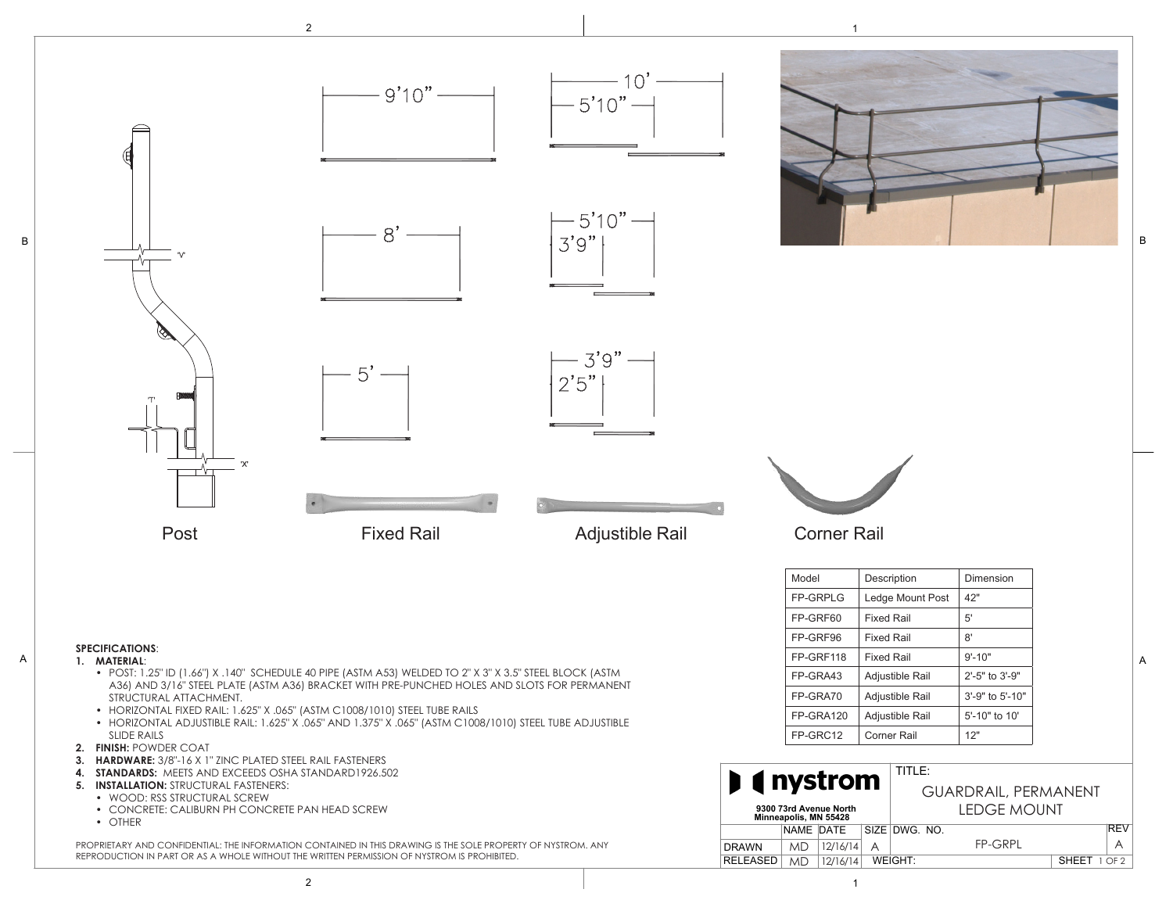

B



The Premier Rail System is comprised of numerous components. Below are examples of the individual parts that components. Below are examples of the individual parts that computer  $\mathbf{r}_{\text{max}}$ 

the system. These parts may or may not be a part of your particular system, and are shown for reference only.

PROPRIETARY AND CONFIDENTIAL: THE INFORMATION CONTAINED IN THIS DRAWING IS THE SOLE PROPERTY OF NYSTROM. ANY REPRODUCTION IN PART OR AS A WHOLE WITHOUT THE WRITTEN PERMISSION OF NYSTROM IS PROHIBITED.

B

**G**

**I S H**